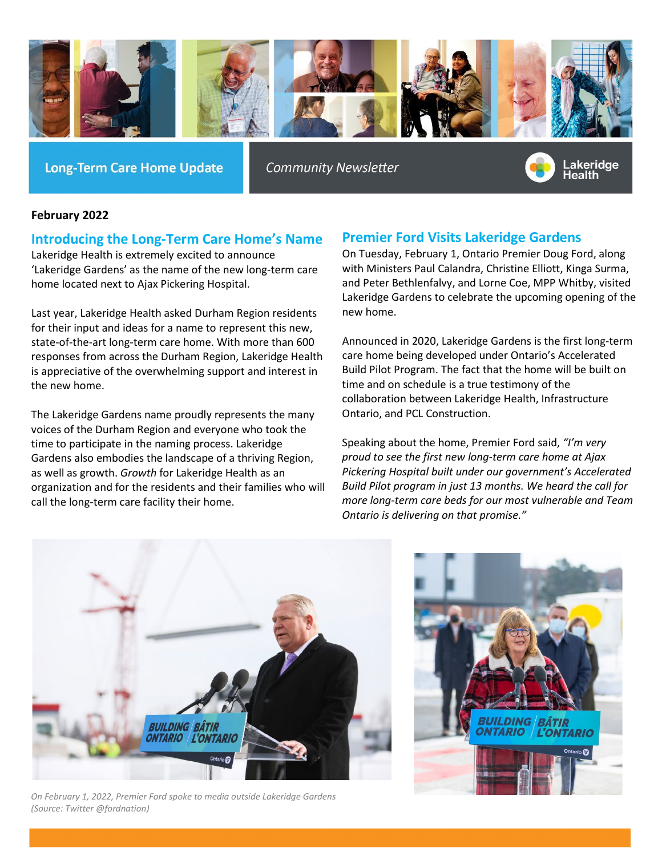

**Long-Term Care Home Update** 

**Community Newsletter** 



#### **February 2022**

#### **Introducing the Long-Term Care Home's Name**

Lakeridge Health is extremely excited to announce 'Lakeridge Gardens' as the name of the new long-term care home located next to Ajax Pickering Hospital.

Last year, Lakeridge Health asked Durham Region residents for their input and ideas for a name to represent this new, state-of-the-art long-term care home. With more than 600 responses from across the Durham Region, Lakeridge Health is appreciative of the overwhelming support and interest in the new home.

The Lakeridge Gardens name proudly represents the many voices of the Durham Region and everyone who took the time to participate in the naming process. Lakeridge Gardens also embodies the landscape of a thriving Region, as well as growth. *Growth* for Lakeridge Health as an organization and for the residents and their families who will call the long-term care facility their home.

## **Premier Ford Visits Lakeridge Gardens**

On Tuesday, February 1, Ontario Premier Doug Ford, along with Ministers Paul Calandra, Christine Elliott, Kinga Surma, and Peter Bethlenfalvy, and Lorne Coe, MPP Whitby, visited Lakeridge Gardens to celebrate the upcoming opening of the new home.

Announced in 2020, Lakeridge Gardens is the first long-term care home being developed under Ontario's Accelerated Build Pilot Program. The fact that the home will be built on time and on schedule is a true testimony of the collaboration between Lakeridge Health, Infrastructure Ontario, and PCL Construction.

Speaking about the home, Premier Ford said, *"I'm very proud to see the first new long-term care home at Ajax Pickering Hospital built under our government's Accelerated Build Pilot program in just 13 months. We heard the call for more long-term care beds for our most vulnerable and Team Ontario is delivering on that promise."*



*On February 1, 2022, Premier Ford spoke to media outside Lakeridge Gardens (Source: Twitter @fordnation)*